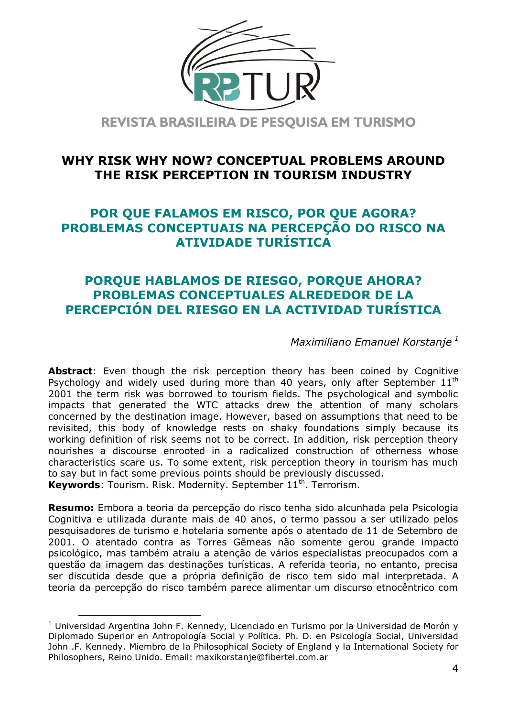

REVISTA BRASILEIRA DE PESOUISA EM TURISMO

## **WHY RISK WHY NOW? CONCEPTUAL PROBLEMS AROUND THE RISK PERCEPTION IN TOURISM INDUSTRY**

# **POR QUE FALAMOS EM RISCO, POR QUE AGORA? PROBLEMAS CONCEPTUAIS NA PERCEPÇÃO DO RISCO NA ATIVIDADE TURÍSTICA**

# **PORQUE HABLAMOS DE RIESGO, PORQUE AHORA? PROBLEMAS CONCEPTUALES ALREDEDOR DE LA PERCEPCIÓN DEL RIESGO EN LA ACTIVIDAD TURÍSTICA**

*Maximiliano Emanuel Korstanje <sup>1</sup>*

**Abstract**: Even though the risk perception theory has been coined by Cognitive Psychology and widely used during more than 40 years, only after September  $11<sup>th</sup>$ 2001 the term risk was borrowed to tourism fields. The psychological and symbolic impacts that generated the WTC attacks drew the attention of many scholars concerned by the destination image. However, based on assumptions that need to be revisited, this body of knowledge rests on shaky foundations simply because its working definition of risk seems not to be correct. In addition, risk perception theory nourishes a discourse enrooted in a radicalized construction of otherness whose characteristics scare us. To some extent, risk perception theory in tourism has much to say but in fact some previous points should be previously discussed. Keywords: Tourism. Risk. Modernity. September 11<sup>th</sup>. Terrorism.

**Resumo:** Embora a teoria da percepção do risco tenha sido alcunhada pela Psicologia Cognitiva e utilizada durante mais de 40 anos, o termo passou a ser utilizado pelos pesquisadores de turismo e hotelaria somente após o atentado de 11 de Setembro de 2001. O atentado contra as Torres Gêmeas não somente gerou grande impacto psicológico, mas também atraiu a atenção de vários especialistas preocupados com a questão da imagem das destinações turísticas. A referida teoria, no entanto, precisa ser discutida desde que a própria definição de risco tem sido mal interpretada. A teoria da percepção do risco também parece alimentar um discurso etnocêntrico com

-

 $1$  Universidad Argentina John F. Kennedy, Licenciado en Turismo por la Universidad de Morón y Diplomado Superior en Antropología Social y Política. Ph. D. en Psicología Social, Universidad John .F. Kennedy. Miembro de la Philosophical Society of England y la International Society for Philosophers, Reino Unido. Email: maxikorstanje@fibertel.com.ar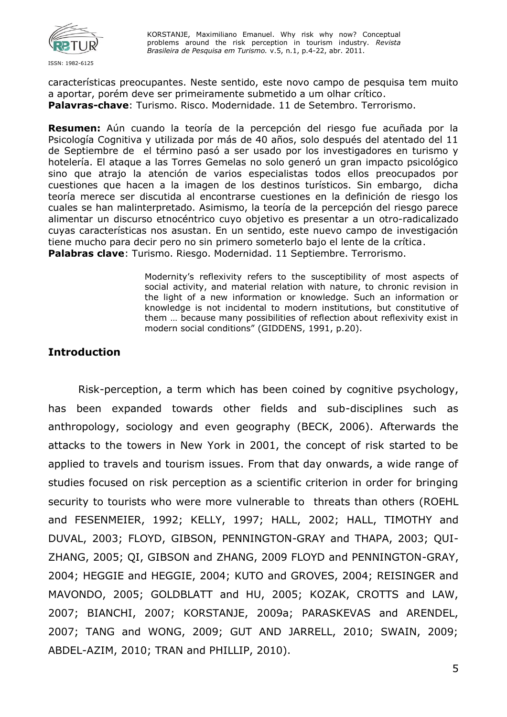

características preocupantes. Neste sentido, este novo campo de pesquisa tem muito a aportar, porém deve ser primeiramente submetido a um olhar crítico. **Palavras-chave**: Turismo. Risco. Modernidade. 11 de Setembro. Terrorismo.

**Resumen:** Aún cuando la teoría de la percepción del riesgo fue acuñada por la Psicología Cognitiva y utilizada por más de 40 años, solo después del atentado del 11 de Septiembre de el término pasó a ser usado por los investigadores en turismo y hotelería. El ataque a las Torres Gemelas no solo generó un gran impacto psicológico sino que atrajo la atención de varios especialistas todos ellos preocupados por cuestiones que hacen a la imagen de los destinos turísticos. Sin embargo, dicha teoría merece ser discutida al encontrarse cuestiones en la definición de riesgo los cuales se han malinterpretado. Asimismo, la teoría de la percepción del riesgo parece alimentar un discurso etnocéntrico cuyo objetivo es presentar a un otro-radicalizado cuyas características nos asustan. En un sentido, este nuevo campo de investigación tiene mucho para decir pero no sin primero someterlo bajo el lente de la crítica. **Palabras clave**: Turismo. Riesgo. Modernidad. 11 Septiembre. Terrorismo.

> Modernity's reflexivity refers to the susceptibility of most aspects of social activity, and material relation with nature, to chronic revision in the light of a new information or knowledge. Such an information or knowledge is not incidental to modern institutions, but constitutive of them … because many possibilities of reflection about reflexivity exist in modern social conditions" (GIDDENS, 1991, p.20).

### **Introduction**

Risk-perception, a term which has been coined by cognitive psychology, has been expanded towards other fields and sub-disciplines such as anthropology, sociology and even geography (BECK, 2006). Afterwards the attacks to the towers in New York in 2001, the concept of risk started to be applied to travels and tourism issues. From that day onwards, a wide range of studies focused on risk perception as a scientific criterion in order for bringing security to tourists who were more vulnerable to threats than others (ROEHL and FESENMEIER, 1992; KELLY, 1997; HALL, 2002; HALL, TIMOTHY and DUVAL, 2003; FLOYD, GIBSON, PENNINGTON-GRAY and THAPA, 2003; QUI-ZHANG, 2005; QI, GIBSON and ZHANG, 2009 FLOYD and PENNINGTON-GRAY, 2004; HEGGIE and HEGGIE, 2004; KUTO and GROVES, 2004; REISINGER and MAVONDO, 2005; GOLDBLATT and HU, 2005; KOZAK, CROTTS and LAW, 2007; BIANCHI, 2007; KORSTANJE, 2009a; PARASKEVAS and ARENDEL, 2007; TANG and WONG, 2009; GUT AND JARRELL, 2010; SWAIN, 2009; ABDEL-AZIM, 2010; TRAN and PHILLIP, 2010).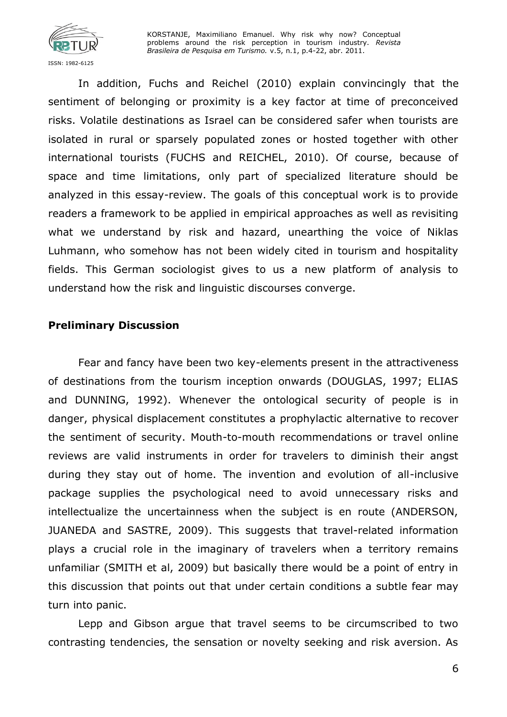

In addition, Fuchs and Reichel (2010) explain convincingly that the sentiment of belonging or proximity is a key factor at time of preconceived risks. Volatile destinations as Israel can be considered safer when tourists are isolated in rural or sparsely populated zones or hosted together with other international tourists (FUCHS and REICHEL, 2010). Of course, because of space and time limitations, only part of specialized literature should be analyzed in this essay-review. The goals of this conceptual work is to provide readers a framework to be applied in empirical approaches as well as revisiting what we understand by risk and hazard, unearthing the voice of Niklas Luhmann, who somehow has not been widely cited in tourism and hospitality fields. This German sociologist gives to us a new platform of analysis to understand how the risk and linguistic discourses converge.

### **Preliminary Discussion**

Fear and fancy have been two key-elements present in the attractiveness of destinations from the tourism inception onwards (DOUGLAS, 1997; ELIAS and DUNNING, 1992). Whenever the ontological security of people is in danger, physical displacement constitutes a prophylactic alternative to recover the sentiment of security. Mouth-to-mouth recommendations or travel online reviews are valid instruments in order for travelers to diminish their angst during they stay out of home. The invention and evolution of all-inclusive package supplies the psychological need to avoid unnecessary risks and intellectualize the uncertainness when the subject is en route (ANDERSON, JUANEDA and SASTRE, 2009). This suggests that travel-related information plays a crucial role in the imaginary of travelers when a territory remains unfamiliar (SMITH et al, 2009) but basically there would be a point of entry in this discussion that points out that under certain conditions a subtle fear may turn into panic.

Lepp and Gibson argue that travel seems to be circumscribed to two contrasting tendencies, the sensation or novelty seeking and risk aversion. As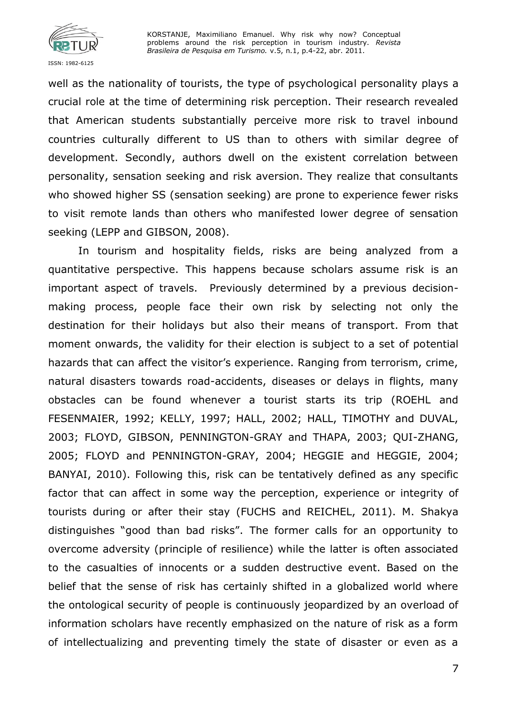

well as the nationality of tourists, the type of psychological personality plays a crucial role at the time of determining risk perception. Their research revealed that American students substantially perceive more risk to travel inbound countries culturally different to US than to others with similar degree of development. Secondly, authors dwell on the existent correlation between personality, sensation seeking and risk aversion. They realize that consultants who showed higher SS (sensation seeking) are prone to experience fewer risks to visit remote lands than others who manifested lower degree of sensation seeking (LEPP and GIBSON, 2008).

In tourism and hospitality fields, risks are being analyzed from a quantitative perspective. This happens because scholars assume risk is an important aspect of travels. Previously determined by a previous decisionmaking process, people face their own risk by selecting not only the destination for their holidays but also their means of transport. From that moment onwards, the validity for their election is subject to a set of potential hazards that can affect the visitor's experience. Ranging from terrorism, crime, natural disasters towards road-accidents, diseases or delays in flights, many obstacles can be found whenever a tourist starts its trip (ROEHL and FESENMAIER, 1992; KELLY, 1997; HALL, 2002; HALL, TIMOTHY and DUVAL, 2003; FLOYD, GIBSON, PENNINGTON-GRAY and THAPA, 2003; QUI-ZHANG, 2005; FLOYD and PENNINGTON-GRAY, 2004; HEGGIE and HEGGIE, 2004; BANYAI, 2010). Following this, risk can be tentatively defined as any specific factor that can affect in some way the perception, experience or integrity of tourists during or after their stay (FUCHS and REICHEL, 2011). M. Shakya distinguishes "good than bad risks". The former calls for an opportunity to overcome adversity (principle of resilience) while the latter is often associated to the casualties of innocents or a sudden destructive event. Based on the belief that the sense of risk has certainly shifted in a globalized world where the ontological security of people is continuously jeopardized by an overload of information scholars have recently emphasized on the nature of risk as a form of intellectualizing and preventing timely the state of disaster or even as a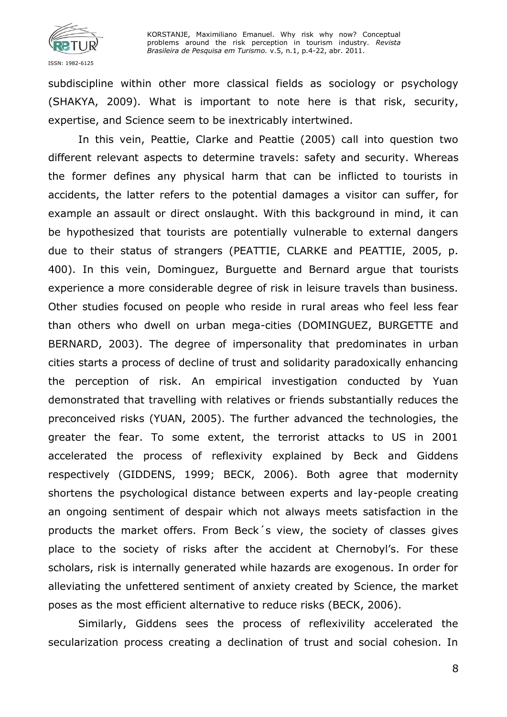

subdiscipline within other more classical fields as sociology or psychology (SHAKYA, 2009). What is important to note here is that risk, security, expertise, and Science seem to be inextricably intertwined.

In this vein, Peattie, Clarke and Peattie (2005) call into question two different relevant aspects to determine travels: safety and security. Whereas the former defines any physical harm that can be inflicted to tourists in accidents, the latter refers to the potential damages a visitor can suffer, for example an assault or direct onslaught. With this background in mind, it can be hypothesized that tourists are potentially vulnerable to external dangers due to their status of strangers (PEATTIE, CLARKE and PEATTIE, 2005, p. 400). In this vein, Dominguez, Burguette and Bernard argue that tourists experience a more considerable degree of risk in leisure travels than business. Other studies focused on people who reside in rural areas who feel less fear than others who dwell on urban mega-cities (DOMINGUEZ, BURGETTE and BERNARD, 2003). The degree of impersonality that predominates in urban cities starts a process of decline of trust and solidarity paradoxically enhancing the perception of risk. An empirical investigation conducted by Yuan demonstrated that travelling with relatives or friends substantially reduces the preconceived risks (YUAN, 2005). The further advanced the technologies, the greater the fear. To some extent, the terrorist attacks to US in 2001 accelerated the process of reflexivity explained by Beck and Giddens respectively (GIDDENS, 1999; BECK, 2006). Both agree that modernity shortens the psychological distance between experts and lay-people creating an ongoing sentiment of despair which not always meets satisfaction in the products the market offers. From Beck´s view, the society of classes gives place to the society of risks after the accident at Chernobyl's. For these scholars, risk is internally generated while hazards are exogenous. In order for alleviating the unfettered sentiment of anxiety created by Science, the market poses as the most efficient alternative to reduce risks (BECK, 2006).

Similarly, Giddens sees the process of reflexivility accelerated the secularization process creating a declination of trust and social cohesion. In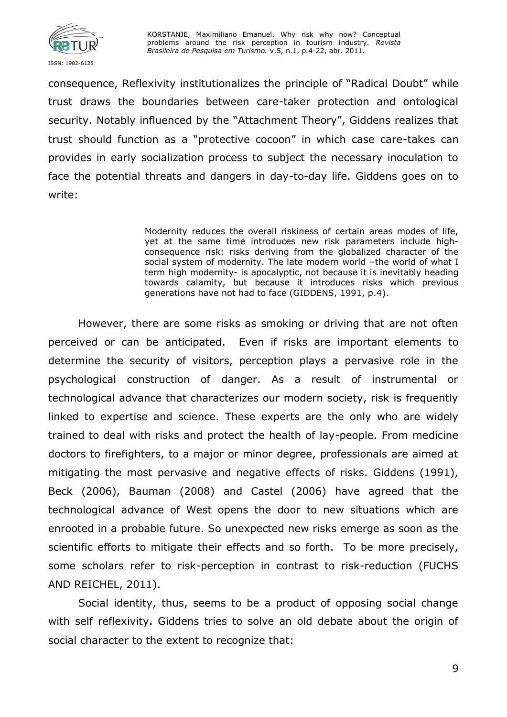

consequence, Reflexivity institutionalizes the principle of "Radical Doubt" while trust draws the boundaries between care-taker protection and ontological security. Notably influenced by the "Attachment Theory", Giddens realizes that trust should function as a "protective cocoon" in which case care-takes can provides in early socialization process to subject the necessary inoculation to face the potential threats and dangers in day-to-day life. Giddens goes on to write:

> Modernity reduces the overall riskiness of certain areas modes of life, yet at the same time introduces new risk parameters include highconsequence risk: risks deriving from the globalized character of the social system of modernity. The late modern world -the world of what I term high modernity- is apocalyptic, not because it is inevitably heading towards calamity, but because it introduces risks which previous generations have not had to face (GIDDENS, 1991, p.4).

However, there are some risks as smoking or driving that are not often perceived or can be anticipated. Even if risks are important elements to determine the security of visitors, perception plays a pervasive role in the psychological construction of danger. As a result of instrumental or technological advance that characterizes our modern society, risk is frequently linked to expertise and science. These experts are the only who are widely trained to deal with risks and protect the health of lay-people. From medicine doctors to firefighters, to a major or minor degree, professionals are aimed at mitigating the most pervasive and negative effects of risks. Giddens (1991), Beck (2006), Bauman (2008) and Castel (2006) have agreed that the technological advance of West opens the door to new situations which are enrooted in a probable future. So unexpected new risks emerge as soon as the scientific efforts to mitigate their effects and so forth. To be more precisely, some scholars refer to risk-perception in contrast to risk-reduction (FUCHS AND REICHEL, 2011).

Social identity, thus, seems to be a product of opposing social change with self reflexivity. Giddens tries to solve an old debate about the origin of social character to the extent to recognize that: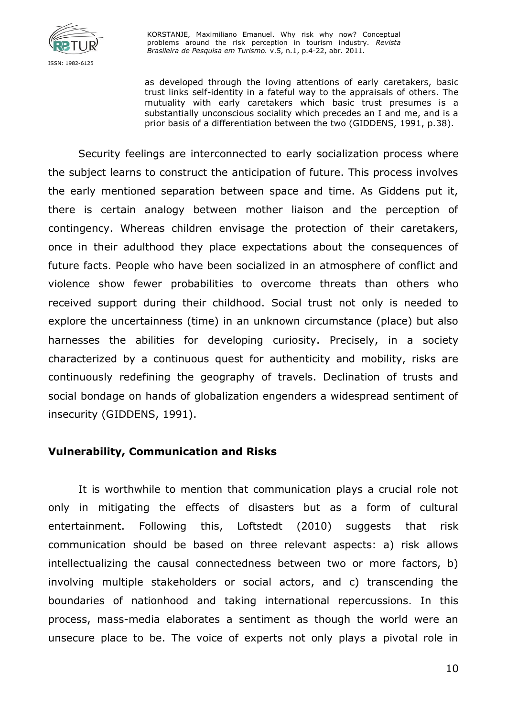

as developed through the loving attentions of early caretakers, basic trust links self-identity in a fateful way to the appraisals of others. The mutuality with early caretakers which basic trust presumes is a substantially unconscious sociality which precedes an I and me, and is a prior basis of a differentiation between the two (GIDDENS, 1991, p.38).

Security feelings are interconnected to early socialization process where the subject learns to construct the anticipation of future. This process involves the early mentioned separation between space and time. As Giddens put it, there is certain analogy between mother liaison and the perception of contingency. Whereas children envisage the protection of their caretakers, once in their adulthood they place expectations about the consequences of future facts. People who have been socialized in an atmosphere of conflict and violence show fewer probabilities to overcome threats than others who received support during their childhood. Social trust not only is needed to explore the uncertainness (time) in an unknown circumstance (place) but also harnesses the abilities for developing curiosity. Precisely, in a society characterized by a continuous quest for authenticity and mobility, risks are continuously redefining the geography of travels. Declination of trusts and social bondage on hands of globalization engenders a widespread sentiment of insecurity (GIDDENS, 1991).

### **Vulnerability, Communication and Risks**

It is worthwhile to mention that communication plays a crucial role not only in mitigating the effects of disasters but as a form of cultural entertainment. Following this, Loftstedt (2010) suggests that risk communication should be based on three relevant aspects: a) risk allows intellectualizing the causal connectedness between two or more factors, b) involving multiple stakeholders or social actors, and c) transcending the boundaries of nationhood and taking international repercussions. In this process, mass-media elaborates a sentiment as though the world were an unsecure place to be. The voice of experts not only plays a pivotal role in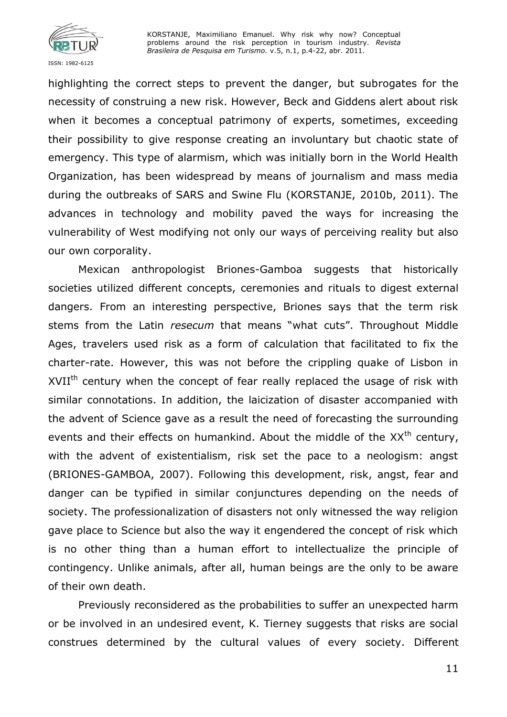

highlighting the correct steps to prevent the danger, but subrogates for the necessity of construing a new risk. However, Beck and Giddens alert about risk when it becomes a conceptual patrimony of experts, sometimes, exceeding their possibility to give response creating an involuntary but chaotic state of emergency. This type of alarmism, which was initially born in the World Health Organization, has been widespread by means of journalism and mass media during the outbreaks of SARS and Swine Flu (KORSTANJE, 2010b, 2011). The advances in technology and mobility paved the ways for increasing the vulnerability of West modifying not only our ways of perceiving reality but also our own corporality.

Mexican anthropologist Briones-Gamboa suggests that historically societies utilized different concepts, ceremonies and rituals to digest external dangers. From an interesting perspective, Briones says that the term risk stems from the Latin *resecum* that means "what cuts". Throughout Middle Ages, travelers used risk as a form of calculation that facilitated to fix the charter-rate. However, this was not before the crippling quake of Lisbon in XVII<sup>th</sup> century when the concept of fear really replaced the usage of risk with similar connotations. In addition, the laicization of disaster accompanied with the advent of Science gave as a result the need of forecasting the surrounding events and their effects on humankind. About the middle of the  $XX<sup>th</sup>$  century, with the advent of existentialism, risk set the pace to a neologism: angst (BRIONES-GAMBOA, 2007). Following this development, risk, angst, fear and danger can be typified in similar conjunctures depending on the needs of society. The professionalization of disasters not only witnessed the way religion gave place to Science but also the way it engendered the concept of risk which is no other thing than a human effort to intellectualize the principle of contingency. Unlike animals, after all, human beings are the only to be aware of their own death.

Previously reconsidered as the probabilities to suffer an unexpected harm or be involved in an undesired event, K. Tierney suggests that risks are social construes determined by the cultural values of every society. Different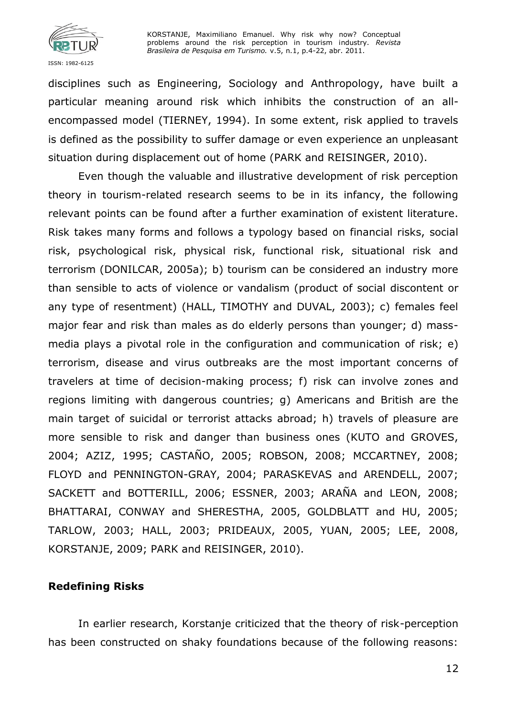

disciplines such as Engineering, Sociology and Anthropology, have built a particular meaning around risk which inhibits the construction of an allencompassed model (TIERNEY, 1994). In some extent, risk applied to travels is defined as the possibility to suffer damage or even experience an unpleasant situation during displacement out of home (PARK and REISINGER, 2010).

Even though the valuable and illustrative development of risk perception theory in tourism-related research seems to be in its infancy, the following relevant points can be found after a further examination of existent literature. Risk takes many forms and follows a typology based on financial risks, social risk, psychological risk, physical risk, functional risk, situational risk and terrorism (DONILCAR, 2005a); b) tourism can be considered an industry more than sensible to acts of violence or vandalism (product of social discontent or any type of resentment) (HALL, TIMOTHY and DUVAL, 2003); c) females feel major fear and risk than males as do elderly persons than younger; d) massmedia plays a pivotal role in the configuration and communication of risk; e) terrorism, disease and virus outbreaks are the most important concerns of travelers at time of decision-making process; f) risk can involve zones and regions limiting with dangerous countries; g) Americans and British are the main target of suicidal or terrorist attacks abroad; h) travels of pleasure are more sensible to risk and danger than business ones (KUTO and GROVES, 2004; AZIZ, 1995; CASTAÑO, 2005; ROBSON, 2008; MCCARTNEY, 2008; FLOYD and PENNINGTON-GRAY, 2004; PARASKEVAS and ARENDELL, 2007; SACKETT and BOTTERILL, 2006; ESSNER, 2003; ARAÑA and LEON, 2008; BHATTARAI, CONWAY and SHERESTHA, 2005, GOLDBLATT and HU, 2005; TARLOW, 2003; HALL, 2003; PRIDEAUX, 2005, YUAN, 2005; LEE, 2008, KORSTANJE, 2009; PARK and REISINGER, 2010).

### **Redefining Risks**

In earlier research, Korstanje criticized that the theory of risk-perception has been constructed on shaky foundations because of the following reasons: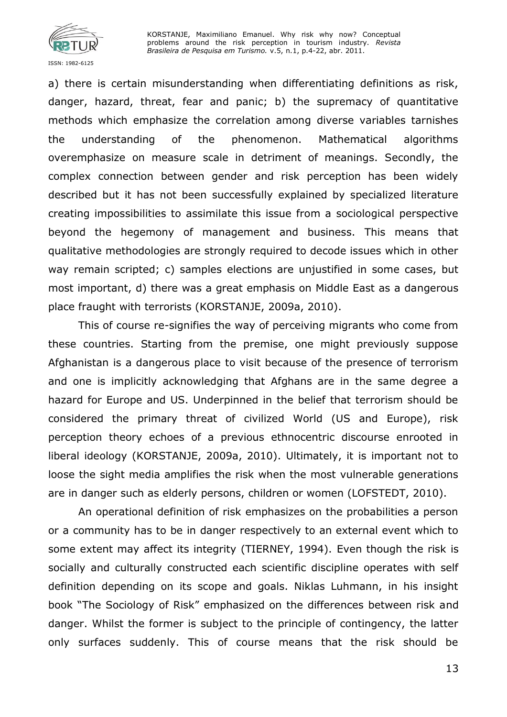

a) there is certain misunderstanding when differentiating definitions as risk, danger, hazard, threat, fear and panic; b) the supremacy of quantitative methods which emphasize the correlation among diverse variables tarnishes the understanding of the phenomenon. Mathematical algorithms overemphasize on measure scale in detriment of meanings. Secondly, the complex connection between gender and risk perception has been widely described but it has not been successfully explained by specialized literature creating impossibilities to assimilate this issue from a sociological perspective beyond the hegemony of management and business. This means that qualitative methodologies are strongly required to decode issues which in other way remain scripted; c) samples elections are unjustified in some cases, but most important, d) there was a great emphasis on Middle East as a dangerous place fraught with terrorists (KORSTANJE, 2009a, 2010).

This of course re-signifies the way of perceiving migrants who come from these countries. Starting from the premise, one might previously suppose Afghanistan is a dangerous place to visit because of the presence of terrorism and one is implicitly acknowledging that Afghans are in the same degree a hazard for Europe and US. Underpinned in the belief that terrorism should be considered the primary threat of civilized World (US and Europe), risk perception theory echoes of a previous ethnocentric discourse enrooted in liberal ideology (KORSTANJE, 2009a, 2010). Ultimately, it is important not to loose the sight media amplifies the risk when the most vulnerable generations are in danger such as elderly persons, children or women (LOFSTEDT, 2010).

An operational definition of risk emphasizes on the probabilities a person or a community has to be in danger respectively to an external event which to some extent may affect its integrity (TIERNEY, 1994). Even though the risk is socially and culturally constructed each scientific discipline operates with self definition depending on its scope and goals. Niklas Luhmann, in his insight book "The Sociology of Risk" emphasized on the differences between risk and danger. Whilst the former is subject to the principle of contingency, the latter only surfaces suddenly. This of course means that the risk should be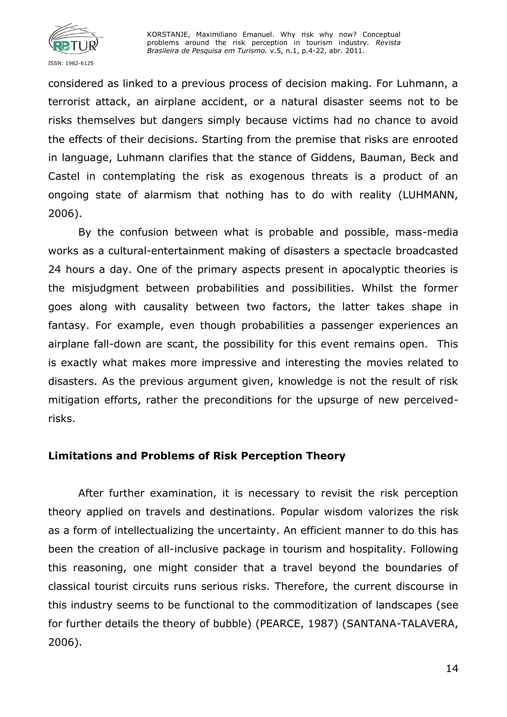

considered as linked to a previous process of decision making. For Luhmann, a terrorist attack, an airplane accident, or a natural disaster seems not to be risks themselves but dangers simply because victims had no chance to avoid the effects of their decisions. Starting from the premise that risks are enrooted in language, Luhmann clarifies that the stance of Giddens, Bauman, Beck and Castel in contemplating the risk as exogenous threats is a product of an ongoing state of alarmism that nothing has to do with reality (LUHMANN, 2006).

By the confusion between what is probable and possible, mass-media works as a cultural-entertainment making of disasters a spectacle broadcasted 24 hours a day. One of the primary aspects present in apocalyptic theories is the misjudgment between probabilities and possibilities. Whilst the former goes along with causality between two factors, the latter takes shape in fantasy. For example, even though probabilities a passenger experiences an airplane fall-down are scant, the possibility for this event remains open. This is exactly what makes more impressive and interesting the movies related to disasters. As the previous argument given, knowledge is not the result of risk mitigation efforts, rather the preconditions for the upsurge of new perceivedrisks.

### **Limitations and Problems of Risk Perception Theory**

After further examination, it is necessary to revisit the risk perception theory applied on travels and destinations. Popular wisdom valorizes the risk as a form of intellectualizing the uncertainty. An efficient manner to do this has been the creation of all-inclusive package in tourism and hospitality. Following this reasoning, one might consider that a travel beyond the boundaries of classical tourist circuits runs serious risks. Therefore, the current discourse in this industry seems to be functional to the commoditization of landscapes (see for further details the theory of bubble) (PEARCE, 1987) (SANTANA-TALAVERA, 2006).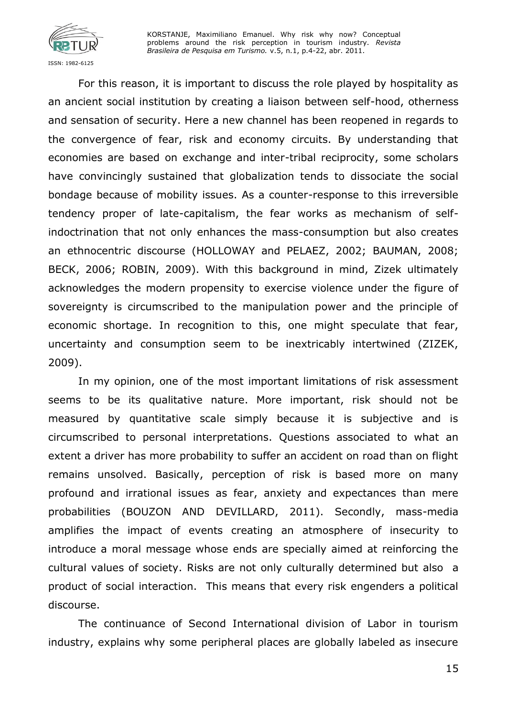

For this reason, it is important to discuss the role played by hospitality as an ancient social institution by creating a liaison between self-hood, otherness and sensation of security. Here a new channel has been reopened in regards to the convergence of fear, risk and economy circuits. By understanding that economies are based on exchange and inter-tribal reciprocity, some scholars have convincingly sustained that globalization tends to dissociate the social bondage because of mobility issues. As a counter-response to this irreversible tendency proper of late-capitalism, the fear works as mechanism of selfindoctrination that not only enhances the mass-consumption but also creates an ethnocentric discourse (HOLLOWAY and PELAEZ, 2002; BAUMAN, 2008; BECK, 2006; ROBIN, 2009). With this background in mind, Zizek ultimately acknowledges the modern propensity to exercise violence under the figure of sovereignty is circumscribed to the manipulation power and the principle of economic shortage. In recognition to this, one might speculate that fear, uncertainty and consumption seem to be inextricably intertwined (ZIZEK, 2009).

In my opinion, one of the most important limitations of risk assessment seems to be its qualitative nature. More important, risk should not be measured by quantitative scale simply because it is subjective and is circumscribed to personal interpretations. Questions associated to what an extent a driver has more probability to suffer an accident on road than on flight remains unsolved. Basically, perception of risk is based more on many profound and irrational issues as fear, anxiety and expectances than mere probabilities (BOUZON AND DEVILLARD, 2011). Secondly, mass-media amplifies the impact of events creating an atmosphere of insecurity to introduce a moral message whose ends are specially aimed at reinforcing the cultural values of society. Risks are not only culturally determined but also a product of social interaction. This means that every risk engenders a political discourse.

The continuance of Second International division of Labor in tourism industry, explains why some peripheral places are globally labeled as insecure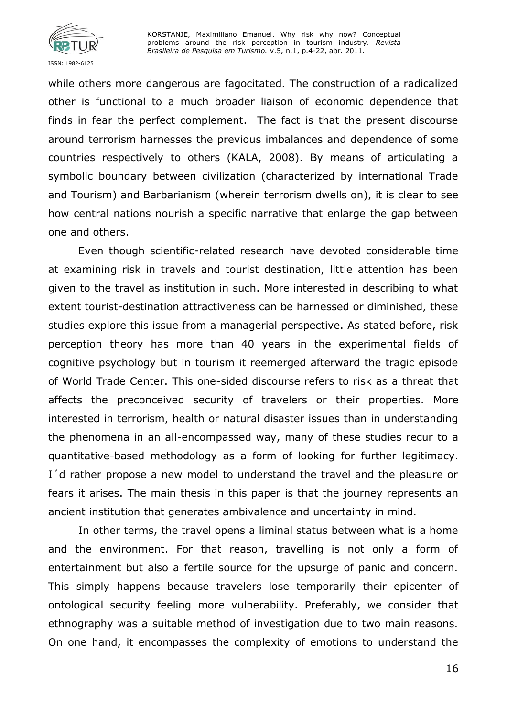

while others more dangerous are fagocitated. The construction of a radicalized other is functional to a much broader liaison of economic dependence that finds in fear the perfect complement. The fact is that the present discourse around terrorism harnesses the previous imbalances and dependence of some countries respectively to others (KALA, 2008). By means of articulating a symbolic boundary between civilization (characterized by international Trade and Tourism) and Barbarianism (wherein terrorism dwells on), it is clear to see how central nations nourish a specific narrative that enlarge the gap between one and others.

Even though scientific-related research have devoted considerable time at examining risk in travels and tourist destination, little attention has been given to the travel as institution in such. More interested in describing to what extent tourist-destination attractiveness can be harnessed or diminished, these studies explore this issue from a managerial perspective. As stated before, risk perception theory has more than 40 years in the experimental fields of cognitive psychology but in tourism it reemerged afterward the tragic episode of World Trade Center. This one-sided discourse refers to risk as a threat that affects the preconceived security of travelers or their properties. More interested in terrorism, health or natural disaster issues than in understanding the phenomena in an all-encompassed way, many of these studies recur to a quantitative-based methodology as a form of looking for further legitimacy. I'd rather propose a new model to understand the travel and the pleasure or fears it arises. The main thesis in this paper is that the journey represents an ancient institution that generates ambivalence and uncertainty in mind.

In other terms, the travel opens a liminal status between what is a home and the environment. For that reason, travelling is not only a form of entertainment but also a fertile source for the upsurge of panic and concern. This simply happens because travelers lose temporarily their epicenter of ontological security feeling more vulnerability. Preferably, we consider that ethnography was a suitable method of investigation due to two main reasons. On one hand, it encompasses the complexity of emotions to understand the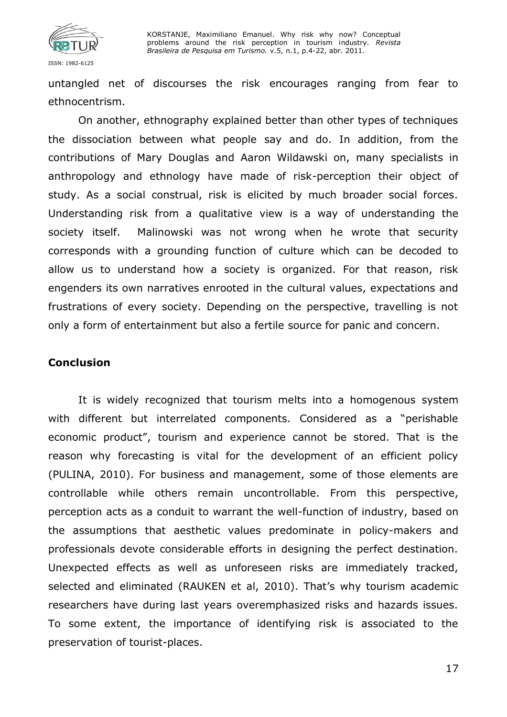

untangled net of discourses the risk encourages ranging from fear to ethnocentrism.

On another, ethnography explained better than other types of techniques the dissociation between what people say and do. In addition, from the contributions of Mary Douglas and Aaron Wildawski on, many specialists in anthropology and ethnology have made of risk-perception their object of study. As a social construal, risk is elicited by much broader social forces. Understanding risk from a qualitative view is a way of understanding the society itself. Malinowski was not wrong when he wrote that security corresponds with a grounding function of culture which can be decoded to allow us to understand how a society is organized. For that reason, risk engenders its own narratives enrooted in the cultural values, expectations and frustrations of every society. Depending on the perspective, travelling is not only a form of entertainment but also a fertile source for panic and concern.

#### **Conclusion**

It is widely recognized that tourism melts into a homogenous system with different but interrelated components. Considered as a "perishable economic product", tourism and experience cannot be stored. That is the reason why forecasting is vital for the development of an efficient policy (PULINA, 2010). For business and management, some of those elements are controllable while others remain uncontrollable. From this perspective, perception acts as a conduit to warrant the well-function of industry, based on the assumptions that aesthetic values predominate in policy-makers and professionals devote considerable efforts in designing the perfect destination. Unexpected effects as well as unforeseen risks are immediately tracked, selected and eliminated (RAUKEN et al, 2010). That's why tourism academic researchers have during last years overemphasized risks and hazards issues. To some extent, the importance of identifying risk is associated to the preservation of tourist-places.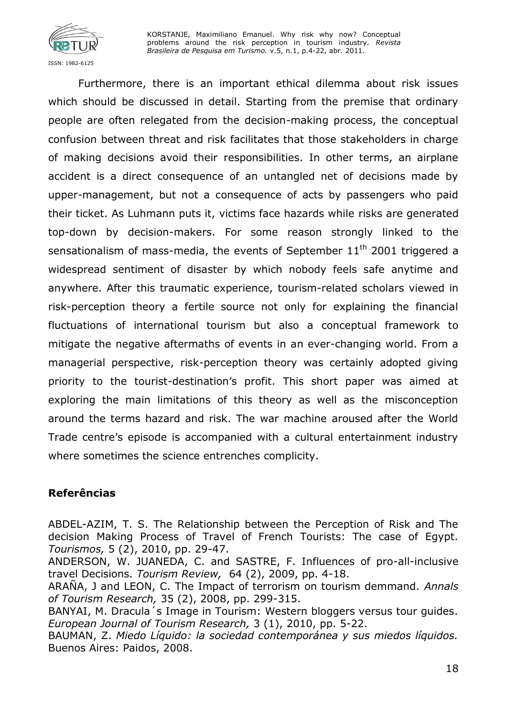

Furthermore, there is an important ethical dilemma about risk issues which should be discussed in detail. Starting from the premise that ordinary people are often relegated from the decision-making process, the conceptual confusion between threat and risk facilitates that those stakeholders in charge of making decisions avoid their responsibilities. In other terms, an airplane accident is a direct consequence of an untangled net of decisions made by upper-management, but not a consequence of acts by passengers who paid their ticket. As Luhmann puts it, victims face hazards while risks are generated top-down by decision-makers. For some reason strongly linked to the sensationalism of mass-media, the events of September  $11<sup>th</sup>$  2001 triggered a widespread sentiment of disaster by which nobody feels safe anytime and anywhere. After this traumatic experience, tourism-related scholars viewed in risk-perception theory a fertile source not only for explaining the financial fluctuations of international tourism but also a conceptual framework to mitigate the negative aftermaths of events in an ever-changing world. From a managerial perspective, risk-perception theory was certainly adopted giving priority to the tourist-destination's profit. This short paper was aimed at exploring the main limitations of this theory as well as the misconception around the terms hazard and risk. The war machine aroused after the World Trade centre's episode is accompanied with a cultural entertainment industry where sometimes the science entrenches complicity.

### **Referências**

ABDEL-AZIM, T. S. The Relationship between the Perception of Risk and The decision Making Process of Travel of French Tourists: The case of Egypt. *Tourismos,* 5 (2), 2010, pp. 29-47.

ANDERSON, W. JUANEDA, C. and SASTRE, F. Influences of pro-all-inclusive travel Decisions. *Tourism Review,* 64 (2), 2009, pp. 4-18.

ARAÑA, J and LEON, C. The Impact of terrorism on tourism demmand. *Annals of Tourism Research,* 35 (2), 2008, pp. 299-315.

BANYAI, M. Dracula´s Image in Tourism: Western bloggers versus tour guides. *European Journal of Tourism Research,* 3 (1), 2010, pp. 5-22.

BAUMAN, Z. *Miedo Líquido: la sociedad contemporánea y sus miedos líquidos.*  Buenos Aires: Paidos, 2008.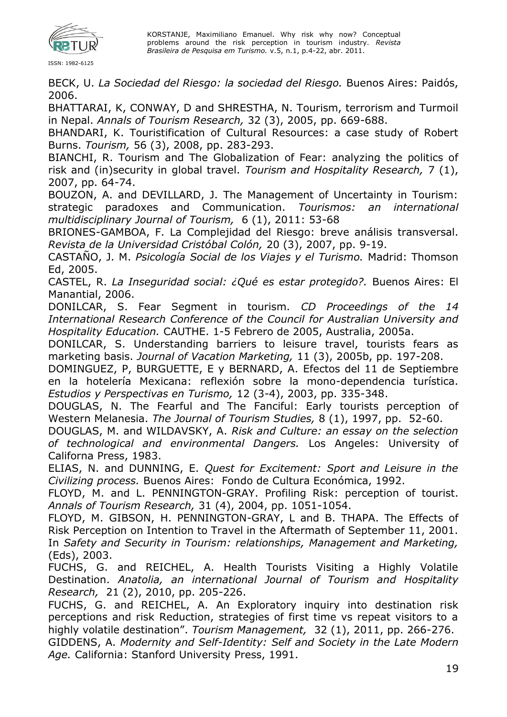

BECK, U. *La Sociedad del Riesgo: la sociedad del Riesgo.* Buenos Aires: Paidós, 2006.

BHATTARAI, K, CONWAY, D and SHRESTHA, N. Tourism, terrorism and Turmoil in Nepal. *Annals of Tourism Research,* 32 (3), 2005, pp. 669-688.

BHANDARI, K. Touristification of Cultural Resources: a case study of Robert Burns. *Tourism,* 56 (3), 2008, pp. 283-293.

BIANCHI, R. Tourism and The Globalization of Fear: analyzing the politics of risk and (in)security in global travel. *Tourism and Hospitality Research,* 7 (1), 2007, pp. 64-74.

BOUZON, A. and DEVILLARD, J. The Management of Uncertainty in Tourism: strategic paradoxes and Communication. *Tourismos: an international multidisciplinary Journal of Tourism,* 6 (1), 2011: 53-68

BRIONES-GAMBOA, F. La Complejidad del Riesgo: breve análisis transversal. *Revista de la Universidad Cristóbal Colón,* 20 (3), 2007, pp. 9-19.

CASTAÑO, J. M. *Psicología Social de los Viajes y el Turismo.* Madrid: Thomson Ed, 2005.

CASTEL, R. *La Inseguridad social: ¿Qué es estar protegido?.* Buenos Aires: El Manantial, 2006.

DONILCAR, S. Fear Segment in tourism. *CD Proceedings of the 14 International Research Conference of the Council for Australian University and Hospitality Education.* CAUTHE. 1-5 Febrero de 2005, Australia, 2005a.

DONILCAR, S. Understanding barriers to leisure travel, tourists fears as marketing basis. *Journal of Vacation Marketing,* 11 (3), 2005b, pp. 197-208.

DOMINGUEZ, P, BURGUETTE, E y BERNARD, A. Efectos del 11 de Septiembre en la hotelería Mexicana: reflexión sobre la mono-dependencia turística. *Estudios y Perspectivas en Turismo,* 12 (3-4), 2003, pp. 335-348.

DOUGLAS, N. The Fearful and The Fanciful: Early tourists perception of Western Melanesia. *The Journal of Tourism Studies,* 8 (1), 1997, pp. 52-60.

DOUGLAS, M. and WILDAVSKY, A. *Risk and Culture: an essay on the selection of technological and environmental Dangers.* Los Angeles: University of Californa Press, 1983.

ELIAS, N. and DUNNING, E. *Quest for Excitement: Sport and Leisure in the Civilizing process.* Buenos Aires: Fondo de Cultura Económica, 1992.

FLOYD, M. and L. PENNINGTON-GRAY. Profiling Risk: perception of tourist. *Annals of Tourism Research,* 31 (4), 2004, pp. 1051-1054.

FLOYD, M. GIBSON, H. PENNINGTON-GRAY, L and B. THAPA. The Effects of Risk Perception on Intention to Travel in the Aftermath of September 11, 2001. In *Safety and Security in Tourism: relationships, Management and Marketing,* (Eds), 2003.

FUCHS, G. and REICHEL, A. Health Tourists Visiting a Highly Volatile Destination. *Anatolia, an international Journal of Tourism and Hospitality Research,* 21 (2), 2010, pp. 205-226.

FUCHS, G. and REICHEL, A. An Exploratory inquiry into destination risk perceptions and risk Reduction, strategies of first time vs repeat visitors to a highly volatile destination". *Tourism Management,* 32 (1), 2011, pp. 266-276.

GIDDENS, A. *Modernity and Self-Identity: Self and Society in the Late Modern Age.* California: Stanford University Press, 1991.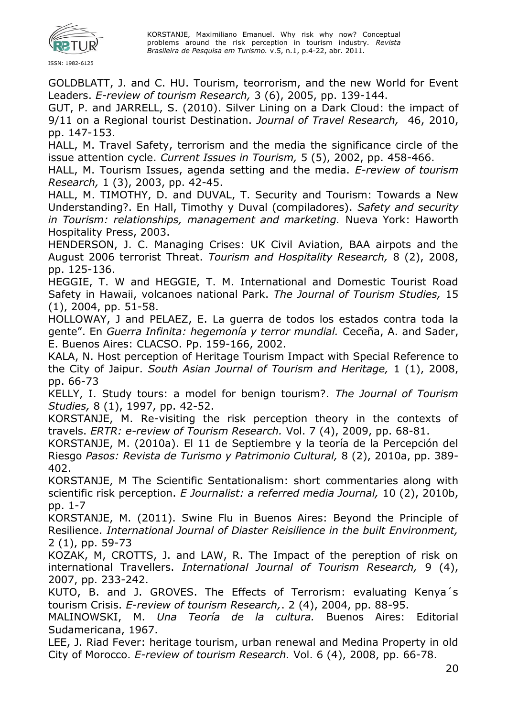

GOLDBLATT, J. and C. HU. Tourism, teorrorism, and the new World for Event Leaders. *E-review of tourism Research,* 3 (6), 2005, pp. 139-144.

GUT, P. and JARRELL, S. (2010). Silver Lining on a Dark Cloud: the impact of 9/11 on a Regional tourist Destination. *Journal of Travel Research,* 46, 2010, pp. 147-153.

HALL, M. Travel Safety, terrorism and the media the significance circle of the issue attention cycle. *Current Issues in Tourism,* 5 (5), 2002, pp. 458-466.

HALL, M. Tourism Issues, agenda setting and the media. *E-review of tourism Research,* 1 (3), 2003, pp. 42-45.

HALL, M. TIMOTHY, D. and DUVAL, T. Security and Tourism: Towards a New Understanding?. En Hall, Timothy y Duval (compiladores). *Safety and security in Tourism: relationships, management and marketing.* Nueva York: Haworth Hospitality Press, 2003.

HENDERSON, J. C. Managing Crises: UK Civil Aviation, BAA airpots and the August 2006 terrorist Threat. *Tourism and Hospitality Research,* 8 (2), 2008, pp. 125-136.

HEGGIE, T. W and HEGGIE, T. M. International and Domestic Tourist Road Safety in Hawaii, volcanoes national Park. *The Journal of Tourism Studies,* 15 (1), 2004, pp. 51-58.

HOLLOWAY, J and PELAEZ, E. La guerra de todos los estados contra toda la gente". En *Guerra Infinita: hegemonía y terror mundial.* Ceceña, A. and Sader, E. Buenos Aires: CLACSO. Pp. 159-166, 2002.

KALA, N. Host perception of Heritage Tourism Impact with Special Reference to the City of Jaipur. *South Asian Journal of Tourism and Heritage,* 1 (1), 2008, pp. 66-73

KELLY, I. Study tours: a model for benign tourism?. *The Journal of Tourism Studies,* 8 (1), 1997, pp. 42-52.

KORSTANJE, M. Re-visiting the risk perception theory in the contexts of travels. *ERTR: e-review of Tourism Research.* Vol. 7 (4), 2009, pp. 68-81.

KORSTANJE, M. (2010a). El 11 de Septiembre y la teoría de la Percepción del Riesgo *Pasos: Revista de Turismo y Patrimonio Cultural,* 8 (2), 2010a, pp. 389- 402.

KORSTANJE, M The Scientific Sentationalism: short commentaries along with scientific risk perception. *E Journalist: a referred media Journal,* 10 (2), 2010b, pp. 1-7

KORSTANJE, M. (2011). Swine Flu in Buenos Aires: Beyond the Principle of Resilience. *International Journal of Diaster Reisilience in the built Environment,*  2 (1), pp. 59-73

KOZAK, M, CROTTS, J. and LAW, R. The Impact of the pereption of risk on international Travellers. *International Journal of Tourism Research,* 9 (4), 2007, pp. 233-242.

KUTO, B. and J. GROVES. The Effects of Terrorism: evaluating Kenya´s tourism Crisis. *E-review of tourism Research,*. 2 (4), 2004, pp. 88-95.

MALINOWSKI, M. *Una Teoría de la cultura.* Buenos Aires: Editorial Sudamericana, 1967.

LEE, J. Riad Fever: heritage tourism, urban renewal and Medina Property in old City of Morocco. *E-review of tourism Research.* Vol. 6 (4), 2008, pp. 66-78.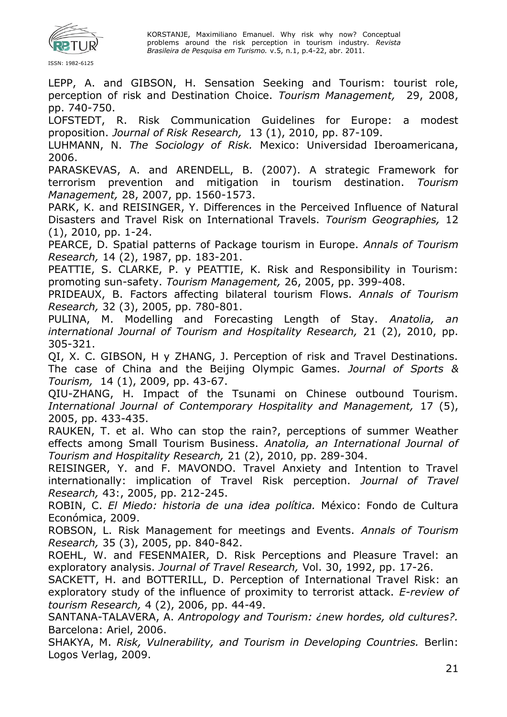

LEPP, A. and GIBSON, H. Sensation Seeking and Tourism: tourist role, perception of risk and Destination Choice. *Tourism Management,* 29, 2008, pp. 740-750.

LOFSTEDT, R. Risk Communication Guidelines for Europe: a modest proposition. *Journal of Risk Research,* 13 (1), 2010, pp. 87-109.

LUHMANN, N. *The Sociology of Risk.* Mexico: Universidad Iberoamericana, 2006.

PARASKEVAS, A. and ARENDELL, B. (2007). A strategic Framework for terrorism prevention and mitigation in tourism destination. *Tourism Management,* 28, 2007, pp. 1560-1573.

PARK, K. and REISINGER, Y. Differences in the Perceived Influence of Natural Disasters and Travel Risk on International Travels. *Tourism Geographies,* 12 (1), 2010, pp. 1-24.

PEARCE, D. Spatial patterns of Package tourism in Europe. *Annals of Tourism Research,* 14 (2), 1987, pp. 183-201.

PEATTIE, S. CLARKE, P. y PEATTIE, K. Risk and Responsibility in Tourism: promoting sun-safety. *Tourism Management,* 26, 2005, pp. 399-408.

PRIDEAUX, B. Factors affecting bilateral tourism Flows. *Annals of Tourism Research,* 32 (3), 2005, pp. 780-801.

PULINA, M. Modelling and Forecasting Length of Stay. *Anatolia, an international Journal of Tourism and Hospitality Research,* 21 (2), 2010, pp. 305-321.

QI, X. C. GIBSON, H y ZHANG, J. Perception of risk and Travel Destinations. The case of China and the Beijing Olympic Games. *Journal of Sports & Tourism,* 14 (1), 2009, pp. 43-67.

QIU-ZHANG, H. Impact of the Tsunami on Chinese outbound Tourism. *International Journal of Contemporary Hospitality and Management,* 17 (5), 2005, pp. 433-435.

RAUKEN, T. et al. Who can stop the rain?, perceptions of summer Weather effects among Small Tourism Business. *Anatolia, an International Journal of Tourism and Hospitality Research,* 21 (2), 2010, pp. 289-304.

REISINGER, Y. and F. MAVONDO. Travel Anxiety and Intention to Travel internationally: implication of Travel Risk perception. *Journal of Travel Research,* 43:, 2005, pp. 212-245.

ROBIN, C. *El Miedo: historia de una idea política.* México: Fondo de Cultura Económica, 2009.

ROBSON, L. Risk Management for meetings and Events. *Annals of Tourism Research,* 35 (3), 2005, pp. 840-842.

ROEHL, W. and FESENMAIER, D. Risk Perceptions and Pleasure Travel: an exploratory analysis. *Journal of Travel Research,* Vol. 30, 1992, pp. 17-26.

SACKETT, H. and BOTTERILL, D. Perception of International Travel Risk: an exploratory study of the influence of proximity to terrorist attack. *E-review of tourism Research,* 4 (2), 2006, pp. 44-49.

SANTANA-TALAVERA, A. *Antropology and Tourism: ¿new hordes, old cultures?.*  Barcelona: Ariel, 2006.

SHAKYA, M. *Risk, Vulnerability, and Tourism in Developing Countries.* Berlin: Logos Verlag, 2009.